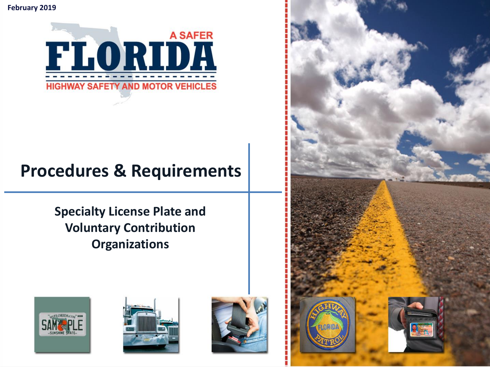**February 2019**



## **Procedures & Requirements**

**Specialty License Plate and Voluntary Contribution Organizations** 







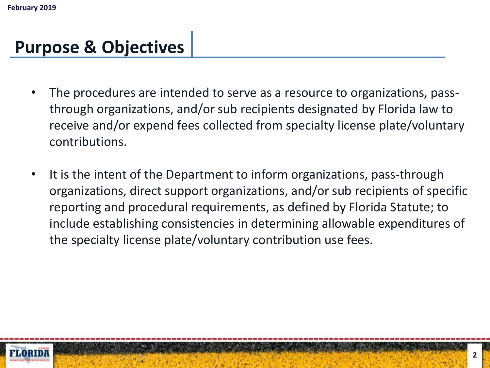### **Purpose & Objectives**

- The procedures are intended to serve as a resource to organizations, passthrough organizations, and/or sub recipients designated by Florida law to receive and/or expend fees collected from specialty license plate/voluntary contributions.
- It is the intent of the Department to inform organizations, pass-through organizations, direct support organizations, and/or sub recipients of specific reporting and procedural requirements, as defined by Florida Statute; to include establishing consistencies in determining allowable expenditures of the specialty license plate/voluntary contribution use fees.

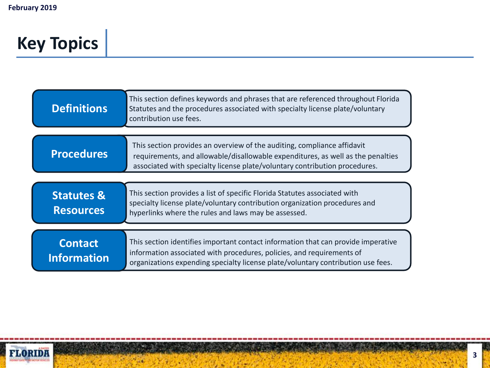# **Key Topics**

| <b>Definitions</b>                        | This section defines keywords and phrases that are referenced throughout Florida<br>Statutes and the procedures associated with specialty license plate/voluntary<br>contribution use fees.                                                    |
|-------------------------------------------|------------------------------------------------------------------------------------------------------------------------------------------------------------------------------------------------------------------------------------------------|
| <b>Procedures</b>                         | This section provides an overview of the auditing, compliance affidavit<br>requirements, and allowable/disallowable expenditures, as well as the penalties<br>associated with specialty license plate/voluntary contribution procedures.       |
| <b>Statutes &amp;</b><br><b>Resources</b> | This section provides a list of specific Florida Statutes associated with<br>specialty license plate/voluntary contribution organization procedures and<br>hyperlinks where the rules and laws may be assessed.                                |
| <b>Contact</b><br><b>Information</b>      | This section identifies important contact information that can provide imperative<br>information associated with procedures, policies, and requirements of<br>organizations expending specialty license plate/voluntary contribution use fees. |

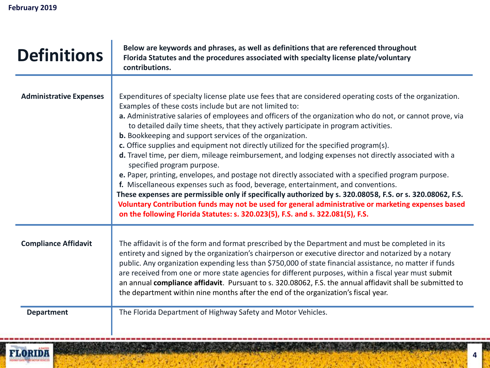<span id="page-3-0"></span>

| <b>Definitions</b>             | Below are keywords and phrases, as well as definitions that are referenced throughout<br>Florida Statutes and the procedures associated with specialty license plate/voluntary<br>contributions.                                                                                                                                                                                                                                                                                                                                                                                                                                                                                                                                                                                                                                                                                                                                                                                                                                                                                                                                                                        |
|--------------------------------|-------------------------------------------------------------------------------------------------------------------------------------------------------------------------------------------------------------------------------------------------------------------------------------------------------------------------------------------------------------------------------------------------------------------------------------------------------------------------------------------------------------------------------------------------------------------------------------------------------------------------------------------------------------------------------------------------------------------------------------------------------------------------------------------------------------------------------------------------------------------------------------------------------------------------------------------------------------------------------------------------------------------------------------------------------------------------------------------------------------------------------------------------------------------------|
| <b>Administrative Expenses</b> | Expenditures of specialty license plate use fees that are considered operating costs of the organization.<br>Examples of these costs include but are not limited to:<br>a. Administrative salaries of employees and officers of the organization who do not, or cannot prove, via<br>to detailed daily time sheets, that they actively participate in program activities.<br>b. Bookkeeping and support services of the organization.<br>c. Office supplies and equipment not directly utilized for the specified program(s).<br>d. Travel time, per diem, mileage reimbursement, and lodging expenses not directly associated with a<br>specified program purpose.<br>e. Paper, printing, envelopes, and postage not directly associated with a specified program purpose.<br>f. Miscellaneous expenses such as food, beverage, entertainment, and conventions.<br>These expenses are permissible only if specifically authorized by s. 320.08058, F.S. or s. 320.08062, F.S.<br>Voluntary Contribution funds may not be used for general administrative or marketing expenses based<br>on the following Florida Statutes: s. 320.023(5), F.S. and s. 322.081(5), F.S. |
| <b>Compliance Affidavit</b>    | The affidavit is of the form and format prescribed by the Department and must be completed in its<br>entirety and signed by the organization's chairperson or executive director and notarized by a notary<br>public. Any organization expending less than \$750,000 of state financial assistance, no matter if funds<br>are received from one or more state agencies for different purposes, within a fiscal year must submit<br>an annual compliance affidavit. Pursuant to s. 320.08062, F.S. the annual affidavit shall be submitted to<br>the department within nine months after the end of the organization's fiscal year.                                                                                                                                                                                                                                                                                                                                                                                                                                                                                                                                      |
| <b>Department</b>              | The Florida Department of Highway Safety and Motor Vehicles.                                                                                                                                                                                                                                                                                                                                                                                                                                                                                                                                                                                                                                                                                                                                                                                                                                                                                                                                                                                                                                                                                                            |

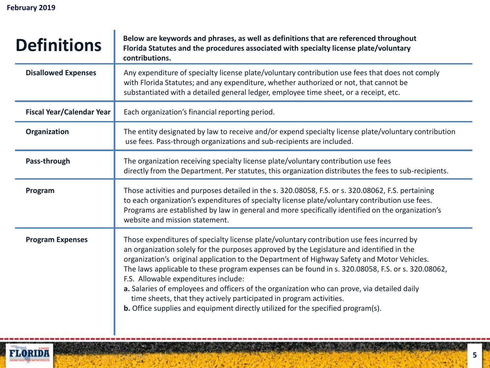| <b>Definitions</b>               | Below are keywords and phrases, as well as definitions that are referenced throughout<br>Florida Statutes and the procedures associated with specialty license plate/voluntary<br>contributions.                                                                                                                                                                                                                                                                                                                                                                                                                                                                                                    |
|----------------------------------|-----------------------------------------------------------------------------------------------------------------------------------------------------------------------------------------------------------------------------------------------------------------------------------------------------------------------------------------------------------------------------------------------------------------------------------------------------------------------------------------------------------------------------------------------------------------------------------------------------------------------------------------------------------------------------------------------------|
| <b>Disallowed Expenses</b>       | Any expenditure of specialty license plate/voluntary contribution use fees that does not comply<br>with Florida Statutes; and any expenditure, whether authorized or not, that cannot be<br>substantiated with a detailed general ledger, employee time sheet, or a receipt, etc.                                                                                                                                                                                                                                                                                                                                                                                                                   |
| <b>Fiscal Year/Calendar Year</b> | Each organization's financial reporting period.                                                                                                                                                                                                                                                                                                                                                                                                                                                                                                                                                                                                                                                     |
| Organization                     | The entity designated by law to receive and/or expend specialty license plate/voluntary contribution<br>use fees. Pass-through organizations and sub-recipients are included.                                                                                                                                                                                                                                                                                                                                                                                                                                                                                                                       |
| Pass-through                     | The organization receiving specialty license plate/voluntary contribution use fees<br>directly from the Department. Per statutes, this organization distributes the fees to sub-recipients.                                                                                                                                                                                                                                                                                                                                                                                                                                                                                                         |
| Program                          | Those activities and purposes detailed in the s. 320.08058, F.S. or s. 320.08062, F.S. pertaining<br>to each organization's expenditures of specialty license plate/voluntary contribution use fees.<br>Programs are established by law in general and more specifically identified on the organization's<br>website and mission statement.                                                                                                                                                                                                                                                                                                                                                         |
| <b>Program Expenses</b>          | Those expenditures of specialty license plate/voluntary contribution use fees incurred by<br>an organization solely for the purposes approved by the Legislature and identified in the<br>organization's original application to the Department of Highway Safety and Motor Vehicles.<br>The laws applicable to these program expenses can be found in s. 320.08058, F.S. or s. 320.08062,<br>F.S. Allowable expenditures include:<br>a. Salaries of employees and officers of the organization who can prove, via detailed daily<br>time sheets, that they actively participated in program activities.<br><b>b.</b> Office supplies and equipment directly utilized for the specified program(s). |

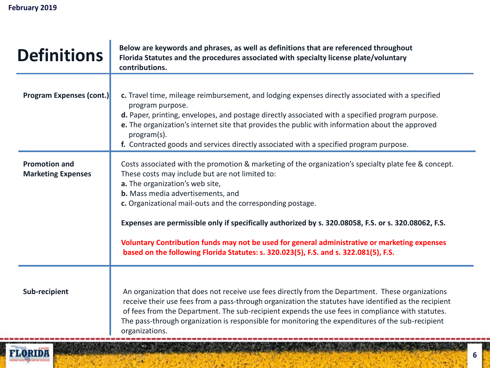| <b>Definitions</b>                                | Below are keywords and phrases, as well as definitions that are referenced throughout<br>Florida Statutes and the procedures associated with specialty license plate/voluntary<br>contributions.                                                                                                                                                                                                                                                                                                                                                                                               |
|---------------------------------------------------|------------------------------------------------------------------------------------------------------------------------------------------------------------------------------------------------------------------------------------------------------------------------------------------------------------------------------------------------------------------------------------------------------------------------------------------------------------------------------------------------------------------------------------------------------------------------------------------------|
| <b>Program Expenses (cont.)</b>                   | c. Travel time, mileage reimbursement, and lodging expenses directly associated with a specified<br>program purpose.<br>d. Paper, printing, envelopes, and postage directly associated with a specified program purpose.<br>e. The organization's internet site that provides the public with information about the approved<br>program(s).<br>f. Contracted goods and services directly associated with a specified program purpose.                                                                                                                                                          |
| <b>Promotion and</b><br><b>Marketing Expenses</b> | Costs associated with the promotion & marketing of the organization's specialty plate fee & concept.<br>These costs may include but are not limited to:<br>a. The organization's web site,<br>b. Mass media advertisements, and<br>c. Organizational mail-outs and the corresponding postage.<br>Expenses are permissible only if specifically authorized by s. 320.08058, F.S. or s. 320.08062, F.S.<br>Voluntary Contribution funds may not be used for general administrative or marketing expenses<br>based on the following Florida Statutes: s. 320.023(5), F.S. and s. 322.081(5), F.S. |
| Sub-recipient                                     | An organization that does not receive use fees directly from the Department. These organizations<br>receive their use fees from a pass-through organization the statutes have identified as the recipient<br>of fees from the Department. The sub-recipient expends the use fees in compliance with statutes.<br>The pass-through organization is responsible for monitoring the expenditures of the sub-recipient<br>organizations.<br>AND RELEASE AND RELEASE AND RELEASE.                                                                                                                   |

 $\mathcal{F}_{\text{p},\text{q}}$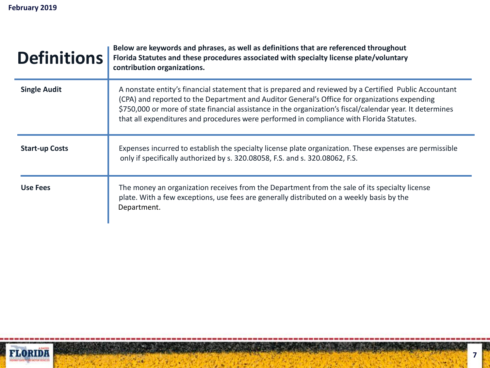| <b>Definitions</b>    | Below are keywords and phrases, as well as definitions that are referenced throughout<br>Florida Statutes and these procedures associated with specialty license plate/voluntary<br>contribution organizations.                                                                                                                                                                                                  |
|-----------------------|------------------------------------------------------------------------------------------------------------------------------------------------------------------------------------------------------------------------------------------------------------------------------------------------------------------------------------------------------------------------------------------------------------------|
| <b>Single Audit</b>   | A nonstate entity's financial statement that is prepared and reviewed by a Certified Public Accountant<br>(CPA) and reported to the Department and Auditor General's Office for organizations expending<br>\$750,000 or more of state financial assistance in the organization's fiscal/calendar year. It determines<br>that all expenditures and procedures were performed in compliance with Florida Statutes. |
| <b>Start-up Costs</b> | Expenses incurred to establish the specialty license plate organization. These expenses are permissible<br>only if specifically authorized by s. 320.08058, F.S. and s. 320.08062, F.S.                                                                                                                                                                                                                          |
| <b>Use Fees</b>       | The money an organization receives from the Department from the sale of its specialty license<br>plate. With a few exceptions, use fees are generally distributed on a weekly basis by the<br>Department.                                                                                                                                                                                                        |

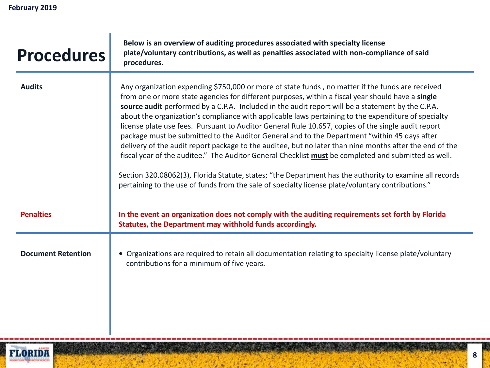r

<span id="page-7-0"></span>

| <b>Procedures</b>         | Below is an overview of auditing procedures associated with specialty license<br>plate/voluntary contributions, as well as penalties associated with non-compliance of said<br>procedures.                                                                                                                                                                                                                                                                                                                                                                                                                                                                                                                                                                                                                                                                                                                                                                                                                                                                |
|---------------------------|-----------------------------------------------------------------------------------------------------------------------------------------------------------------------------------------------------------------------------------------------------------------------------------------------------------------------------------------------------------------------------------------------------------------------------------------------------------------------------------------------------------------------------------------------------------------------------------------------------------------------------------------------------------------------------------------------------------------------------------------------------------------------------------------------------------------------------------------------------------------------------------------------------------------------------------------------------------------------------------------------------------------------------------------------------------|
| <b>Audits</b>             | Any organization expending \$750,000 or more of state funds, no matter if the funds are received<br>from one or more state agencies for different purposes, within a fiscal year should have a single<br>source audit performed by a C.P.A. Included in the audit report will be a statement by the C.P.A.<br>about the organization's compliance with applicable laws pertaining to the expenditure of specialty<br>license plate use fees. Pursuant to Auditor General Rule 10.657, copies of the single audit report<br>package must be submitted to the Auditor General and to the Department "within 45 days after<br>delivery of the audit report package to the auditee, but no later than nine months after the end of the<br>fiscal year of the auditee." The Auditor General Checklist must be completed and submitted as well.<br>Section 320.08062(3), Florida Statute, states; "the Department has the authority to examine all records<br>pertaining to the use of funds from the sale of specialty license plate/voluntary contributions." |
| <b>Penalties</b>          | In the event an organization does not comply with the auditing requirements set forth by Florida<br>Statutes, the Department may withhold funds accordingly.                                                                                                                                                                                                                                                                                                                                                                                                                                                                                                                                                                                                                                                                                                                                                                                                                                                                                              |
| <b>Document Retention</b> | • Organizations are required to retain all documentation relating to specialty license plate/voluntary<br>contributions for a minimum of five years.                                                                                                                                                                                                                                                                                                                                                                                                                                                                                                                                                                                                                                                                                                                                                                                                                                                                                                      |

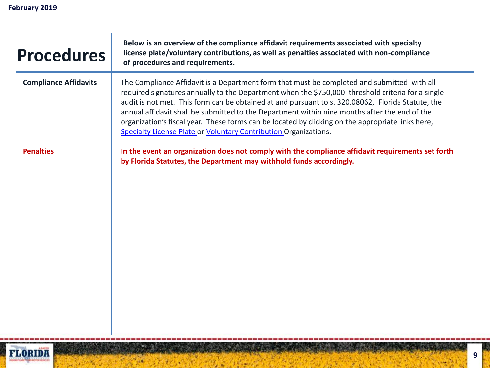| <b>Procedures</b>            | Below is an overview of the compliance affidavit requirements associated with specialty<br>license plate/voluntary contributions, as well as penalties associated with non-compliance<br>of procedures and requirements.                                                                                                                                                                                                                                                                                                                                                        |
|------------------------------|---------------------------------------------------------------------------------------------------------------------------------------------------------------------------------------------------------------------------------------------------------------------------------------------------------------------------------------------------------------------------------------------------------------------------------------------------------------------------------------------------------------------------------------------------------------------------------|
| <b>Compliance Affidavits</b> | The Compliance Affidavit is a Department form that must be completed and submitted with all<br>required signatures annually to the Department when the \$750,000 threshold criteria for a single<br>audit is not met. This form can be obtained at and pursuant to s. 320.08062, Florida Statute, the<br>annual affidavit shall be submitted to the Department within nine months after the end of the<br>organization's fiscal year. These forms can be located by clicking on the appropriate links here,<br>Specialty License Plate or Voluntary Contribution Organizations. |
| <b>Penalties</b>             | In the event an organization does not comply with the compliance affidavit requirements set forth<br>by Florida Statutes, the Department may withhold funds accordingly.                                                                                                                                                                                                                                                                                                                                                                                                        |

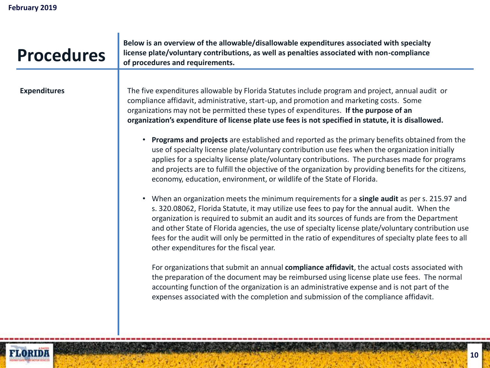| <b>Procedures</b>   | Below is an overview of the allowable/disallowable expenditures associated with specialty<br>license plate/voluntary contributions, as well as penalties associated with non-compliance<br>of procedures and requirements.                                                                                                                                                                                                                                                                                                                                                                                                                                                                                                                                                                                                                                                                                                                                                                                                                                                                                                                                                                                                                                                                                                                                                                                                                                                                                                                                                                                                                                                                                                                                                                                                                                       |
|---------------------|------------------------------------------------------------------------------------------------------------------------------------------------------------------------------------------------------------------------------------------------------------------------------------------------------------------------------------------------------------------------------------------------------------------------------------------------------------------------------------------------------------------------------------------------------------------------------------------------------------------------------------------------------------------------------------------------------------------------------------------------------------------------------------------------------------------------------------------------------------------------------------------------------------------------------------------------------------------------------------------------------------------------------------------------------------------------------------------------------------------------------------------------------------------------------------------------------------------------------------------------------------------------------------------------------------------------------------------------------------------------------------------------------------------------------------------------------------------------------------------------------------------------------------------------------------------------------------------------------------------------------------------------------------------------------------------------------------------------------------------------------------------------------------------------------------------------------------------------------------------|
| <b>Expenditures</b> | The five expenditures allowable by Florida Statutes include program and project, annual audit or<br>compliance affidavit, administrative, start-up, and promotion and marketing costs. Some<br>organizations may not be permitted these types of expenditures. If the purpose of an<br>organization's expenditure of license plate use fees is not specified in statute, it is disallowed.<br><b>Programs and projects</b> are established and reported as the primary benefits obtained from the<br>$\bullet$<br>use of specialty license plate/voluntary contribution use fees when the organization initially<br>applies for a specialty license plate/voluntary contributions. The purchases made for programs<br>and projects are to fulfill the objective of the organization by providing benefits for the citizens,<br>economy, education, environment, or wildlife of the State of Florida.<br>When an organization meets the minimum requirements for a single audit as per s. 215.97 and<br>$\bullet$<br>s. 320.08062, Florida Statute, it may utilize use fees to pay for the annual audit. When the<br>organization is required to submit an audit and its sources of funds are from the Department<br>and other State of Florida agencies, the use of specialty license plate/voluntary contribution use<br>fees for the audit will only be permitted in the ratio of expenditures of specialty plate fees to all<br>other expenditures for the fiscal year.<br>For organizations that submit an annual compliance affidavit, the actual costs associated with<br>the preparation of the document may be reimbursed using license plate use fees. The normal<br>accounting function of the organization is an administrative expense and is not part of the<br>expenses associated with the completion and submission of the compliance affidavit. |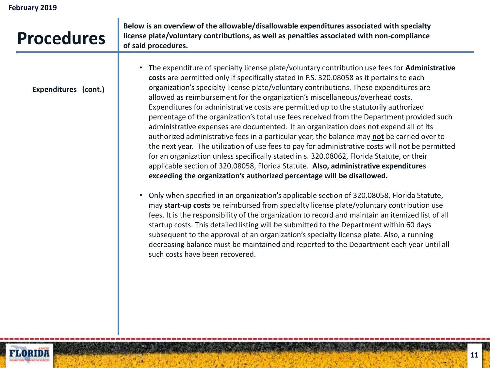| <b>Procedures</b>    | Below is an overview of the allowable/disallowable expenditures associated with specialty<br>license plate/voluntary contributions, as well as penalties associated with non-compliance<br>of said procedures.                                                                                                                                                                                                                                                                                                                                                                                                                                                                                                                                                                                                                                                                                                                                                                                                                                                                                                       |
|----------------------|----------------------------------------------------------------------------------------------------------------------------------------------------------------------------------------------------------------------------------------------------------------------------------------------------------------------------------------------------------------------------------------------------------------------------------------------------------------------------------------------------------------------------------------------------------------------------------------------------------------------------------------------------------------------------------------------------------------------------------------------------------------------------------------------------------------------------------------------------------------------------------------------------------------------------------------------------------------------------------------------------------------------------------------------------------------------------------------------------------------------|
| Expenditures (cont.) | The expenditure of specialty license plate/voluntary contribution use fees for Administrative<br>costs are permitted only if specifically stated in F.S. 320.08058 as it pertains to each<br>organization's specialty license plate/voluntary contributions. These expenditures are<br>allowed as reimbursement for the organization's miscellaneous/overhead costs.<br>Expenditures for administrative costs are permitted up to the statutorily authorized<br>percentage of the organization's total use fees received from the Department provided such<br>administrative expenses are documented. If an organization does not expend all of its<br>authorized administrative fees in a particular year, the balance may not be carried over to<br>the next year. The utilization of use fees to pay for administrative costs will not be permitted<br>for an organization unless specifically stated in s. 320.08062, Florida Statute, or their<br>applicable section of 320.08058, Florida Statute. Also, administrative expenditures<br>exceeding the organization's authorized percentage will be disallowed. |
|                      | Only when specified in an organization's applicable section of 320.08058, Florida Statute,<br>may start-up costs be reimbursed from specialty license plate/voluntary contribution use<br>fees. It is the responsibility of the organization to record and maintain an itemized list of all<br>startup costs. This detailed listing will be submitted to the Department within 60 days<br>subsequent to the approval of an organization's specialty license plate. Also, a running<br>decreasing balance must be maintained and reported to the Department each year until all<br>such costs have been recovered.                                                                                                                                                                                                                                                                                                                                                                                                                                                                                                    |

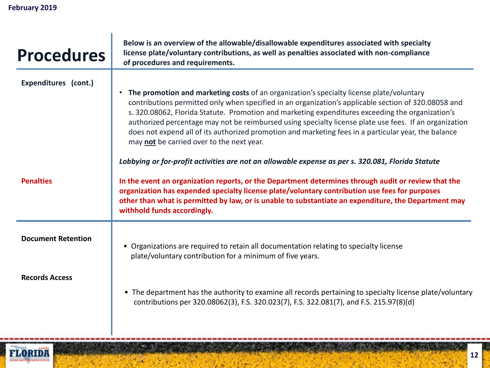| <b>Procedures</b>         | Below is an overview of the allowable/disallowable expenditures associated with specialty<br>license plate/voluntary contributions, as well as penalties associated with non-compliance<br>of procedures and requirements.                                                                                                                                                                                                                                                                                                                                          |
|---------------------------|---------------------------------------------------------------------------------------------------------------------------------------------------------------------------------------------------------------------------------------------------------------------------------------------------------------------------------------------------------------------------------------------------------------------------------------------------------------------------------------------------------------------------------------------------------------------|
| Expenditures (cont.)      | The promotion and marketing costs of an organization's specialty license plate/voluntary<br>contributions permitted only when specified in an organization's applicable section of 320.08058 and<br>s. 320.08062, Florida Statute. Promotion and marketing expenditures exceeding the organization's<br>authorized percentage may not be reimbursed using specialty license plate use fees. If an organization<br>does not expend all of its authorized promotion and marketing fees in a particular year, the balance<br>may not be carried over to the next year. |
| <b>Penalties</b>          | Lobbying or for-profit activities are not an allowable expense as per s. 320.081, Florida Statute<br>In the event an organization reports, or the Department determines through audit or review that the<br>organization has expended specialty license plate/voluntary contribution use fees for purposes<br>other than what is permitted by law, or is unable to substantiate an expenditure, the Department may<br>withhold funds accordingly.                                                                                                                   |
| <b>Document Retention</b> | • Organizations are required to retain all documentation relating to specialty license<br>plate/voluntary contribution for a minimum of five years.                                                                                                                                                                                                                                                                                                                                                                                                                 |
| <b>Records Access</b>     | • The department has the authority to examine all records pertaining to specialty license plate/voluntary<br>contributions per 320.08062(3), F.S. 320.023(7), F.S. 322.081(7), and F.S. 215.97(8)(d)                                                                                                                                                                                                                                                                                                                                                                |

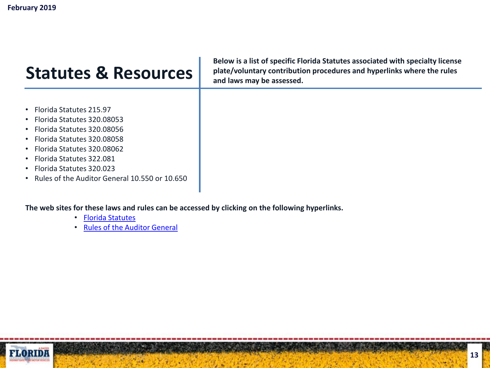#### <span id="page-12-0"></span>**Statutes & Resources**

- Florida Statutes 215.97
- Florida Statutes 320.08053
- Florida Statutes 320.08056
- Florida Statutes 320.08058
- Florida Statutes 320.08062
- Florida Statutes 322.081
- Florida Statutes 320.023
- Rules of the Auditor General 10.550 or 10.650

**The web sites for these laws and rules can be accessed by clicking on the following hyperlinks.**

- [Florida Statutes](http://www.flsenate.gov/Statutes/index.cfm)
- [Rules of the Auditor General](http://www.myflorida.com/audgen/)



**Below is a list of specific Florida Statutes associated with specialty license plate/voluntary contribution procedures and hyperlinks where the rules and laws may be assessed.**